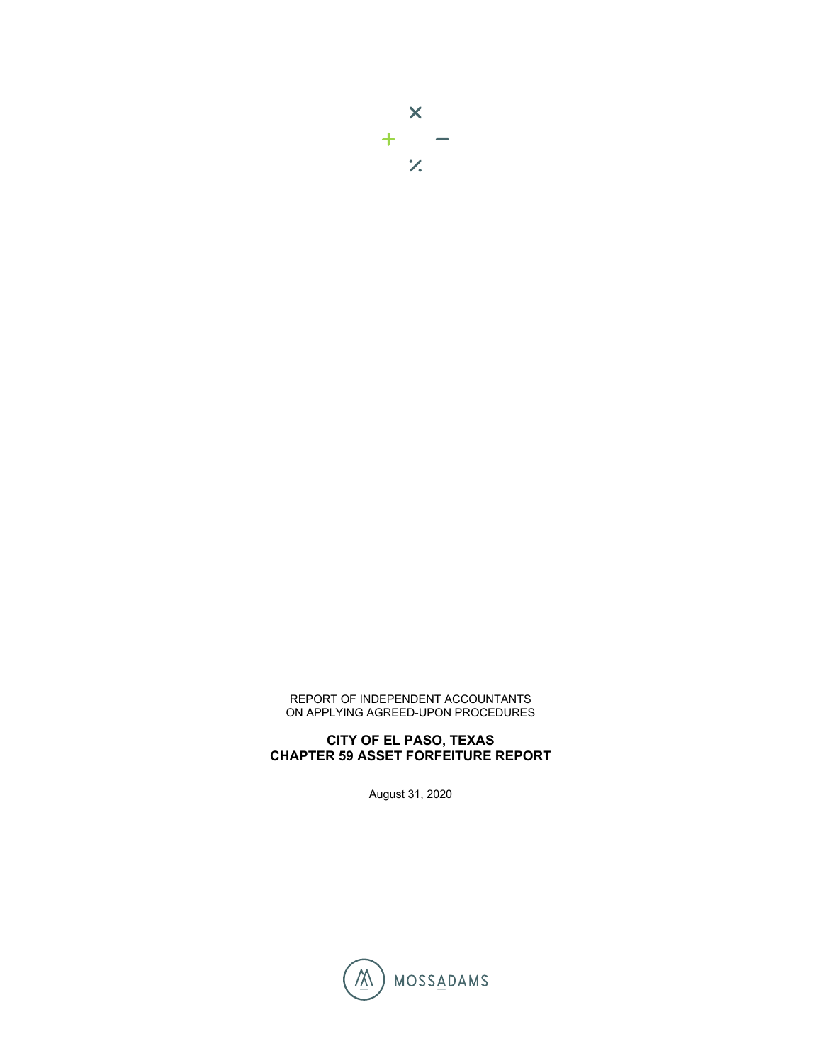

**CHAPTER 59 ASSET FORFEITURE REPORT**

August 31, 2020

## REPORT OF INDEPENDENT ACCOUNTANTS ON APPLYING AGREED-UPON PROCEDURES

**CITY OF EL PASO, TEXAS** 

 $\overline{\mathsf{x}}$  $+$  $\mathcal{V}$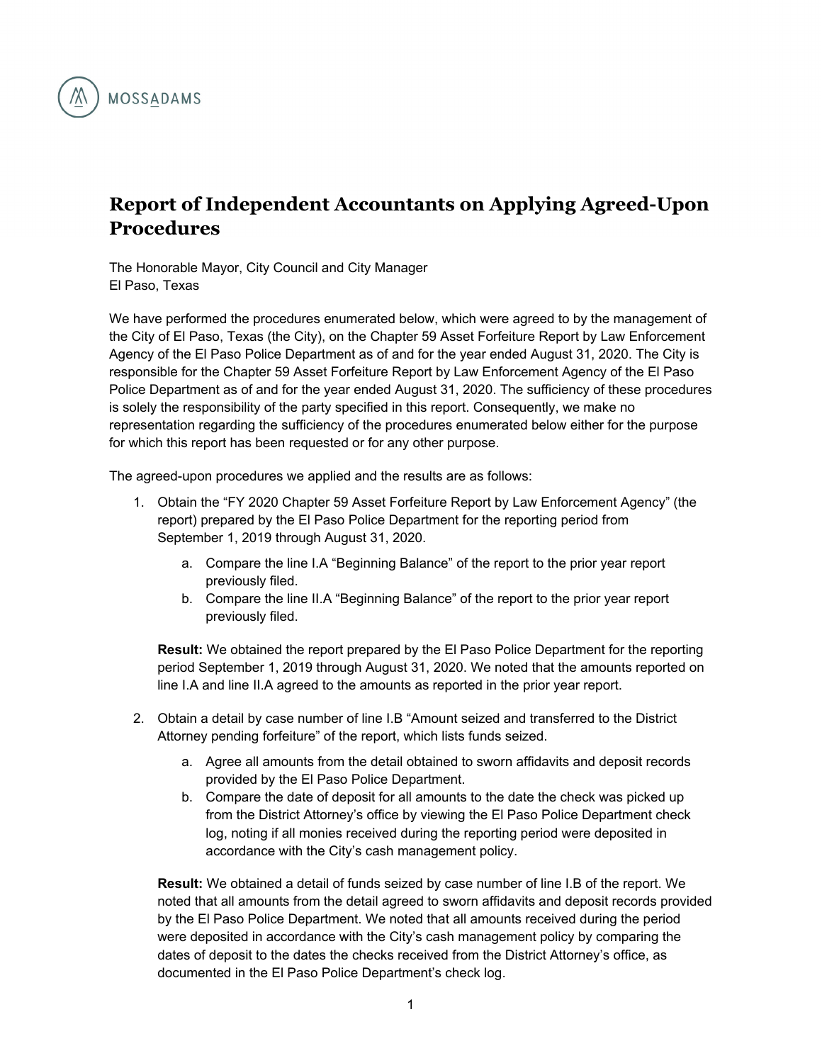

## **Report of Independent Accountants on Applying Agreed-Upon Procedures**

The Honorable Mayor, City Council and City Manager El Paso, Texas

We have performed the procedures enumerated below, which were agreed to by the management of the City of El Paso, Texas (the City), on the Chapter 59 Asset Forfeiture Report by Law Enforcement Agency of the El Paso Police Department as of and for the year ended August 31, 2020. The City is responsible for the Chapter 59 Asset Forfeiture Report by Law Enforcement Agency of the El Paso Police Department as of and for the year ended August 31, 2020. The sufficiency of these procedures is solely the responsibility of the party specified in this report. Consequently, we make no representation regarding the sufficiency of the procedures enumerated below either for the purpose for which this report has been requested or for any other purpose.

The agreed-upon procedures we applied and the results are as follows:

- 1. Obtain the "FY 2020 Chapter 59 Asset Forfeiture Report by Law Enforcement Agency" (the report) prepared by the El Paso Police Department for the reporting period from September 1, 2019 through August 31, 2020.
	- a. Compare the line I.A "Beginning Balance" of the report to the prior year report previously filed.
	- b. Compare the line II.A "Beginning Balance" of the report to the prior year report previously filed.

**Result:** We obtained the report prepared by the El Paso Police Department for the reporting period September 1, 2019 through August 31, 2020. We noted that the amounts reported on line I.A and line II.A agreed to the amounts as reported in the prior year report.

- 2. Obtain a detail by case number of line I.B "Amount seized and transferred to the District Attorney pending forfeiture" of the report, which lists funds seized.
	- a. Agree all amounts from the detail obtained to sworn affidavits and deposit records provided by the El Paso Police Department.
	- b. Compare the date of deposit for all amounts to the date the check was picked up from the District Attorney's office by viewing the El Paso Police Department check log, noting if all monies received during the reporting period were deposited in accordance with the City's cash management policy.

**Result:** We obtained a detail of funds seized by case number of line I.B of the report. We noted that all amounts from the detail agreed to sworn affidavits and deposit records provided by the El Paso Police Department. We noted that all amounts received during the period were deposited in accordance with the City's cash management policy by comparing the dates of deposit to the dates the checks received from the District Attorney's office, as documented in the El Paso Police Department's check log.